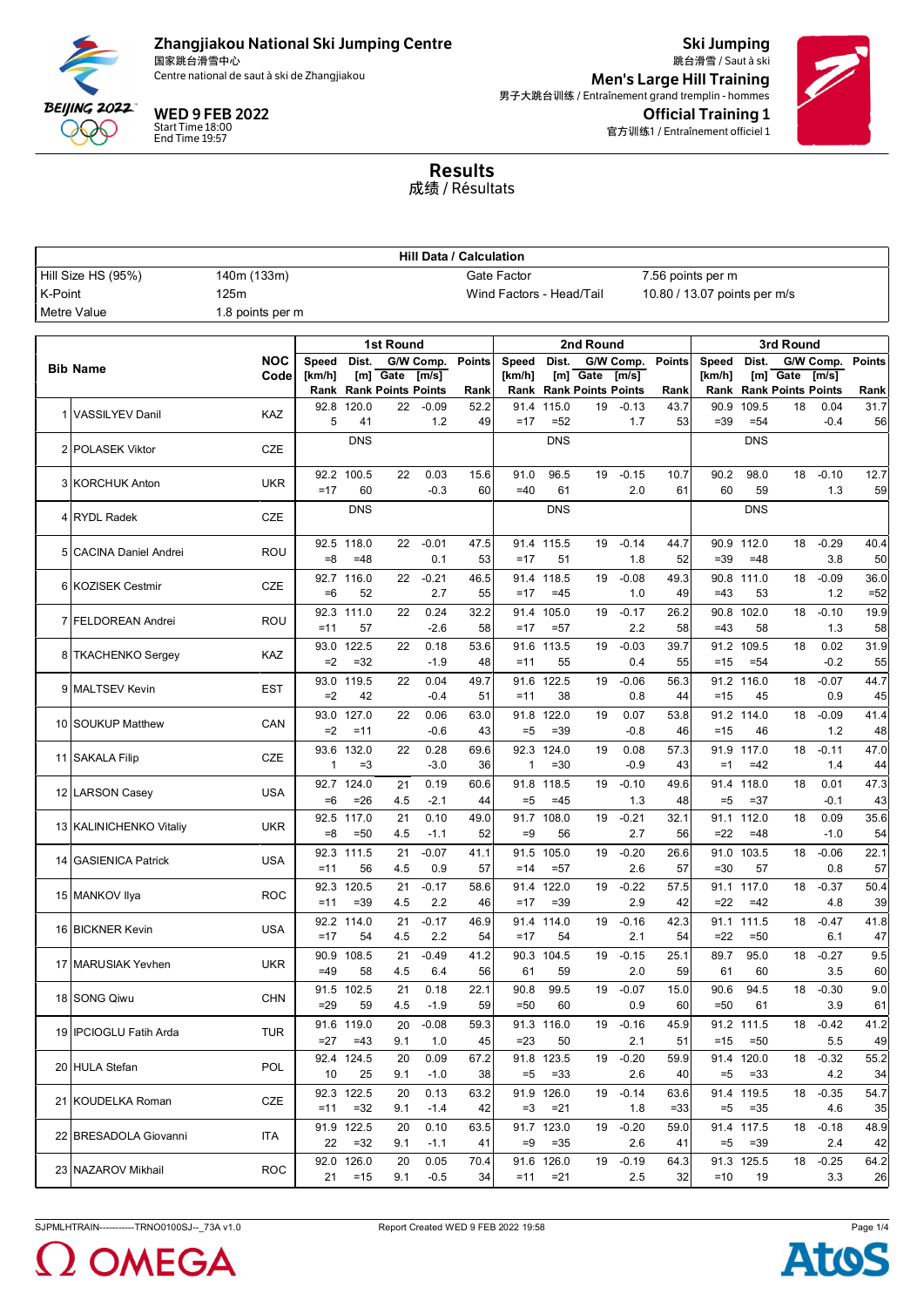

国家跳台滑雪中心 Centre national de saut à ski de Zhangjiakou

WED 9 FEB 2022

Start Time 18:00 End Time 19:57

Ski Jumping 跳台滑雪 / Saut à ski Official Training 1 官方训练1 / Entraînement officiel 1 Men's Large Hill Training 男子大跳台训练 / Entraînement grand tremplin - hommes



Results 成绩 / Résultats

|         | <b>Hill Data / Calculation</b> |                    |                 |                         |                                |                    |               |                          |                      |                                |                    |               |                              |                      |                           |                    |               |
|---------|--------------------------------|--------------------|-----------------|-------------------------|--------------------------------|--------------------|---------------|--------------------------|----------------------|--------------------------------|--------------------|---------------|------------------------------|----------------------|---------------------------|--------------------|---------------|
|         | Hill Size HS (95%)             | 140m (133m)        |                 |                         |                                |                    |               | Gate Factor              |                      |                                |                    |               | 7.56 points per m            |                      |                           |                    |               |
| K-Point |                                | 125m               |                 |                         |                                |                    |               | Wind Factors - Head/Tail |                      |                                |                    |               | 10.80 / 13.07 points per m/s |                      |                           |                    |               |
|         | Metre Value                    | 1.8 points per m   |                 |                         |                                |                    |               |                          |                      |                                |                    |               |                              |                      |                           |                    |               |
|         |                                |                    |                 |                         |                                |                    |               |                          |                      |                                |                    |               |                              |                      |                           |                    |               |
|         |                                |                    |                 |                         | 1st Round                      |                    |               |                          |                      | 2nd Round                      |                    |               |                              |                      | 3rd Round                 |                    |               |
|         | <b>Bib Name</b>                | <b>NOC</b><br>Code | Speed<br>[km/h] | Dist.                   | [m] Gate                       | G/W Comp.<br>[m/s] | <b>Points</b> | Speed<br>[km/h]          | Dist.                | [m] Gate                       | G/W Comp.<br>[m/s] | <b>Points</b> | Speed<br>[km/h]              | Dist.                | [m] Gate                  | G/W Comp.<br>[m/s] | <b>Points</b> |
|         |                                |                    |                 |                         | <b>Rank Rank Points Points</b> |                    | Rank          |                          |                      | <b>Rank Rank Points Points</b> |                    | Rank          | Rank                         |                      | <b>Rank Points Points</b> |                    | Rank          |
|         |                                |                    | 92.8            | 120.0                   | 22                             | $-0.09$            | 52.2          | 91.4                     | 115.0                | 19                             | $-0.13$            | 43.7          | 90.9                         | 109.5                | 18                        | 0.04               | 31.7          |
|         | 1 VASSILYEV Danil              | <b>KAZ</b>         | 5               | 41                      |                                | 1.2                | 49            | $=17$                    | $=52$                |                                | 1.7                | 53            | $=39$                        | $= 54$               |                           | $-0.4$             | 56            |
|         | 2 POLASEK Viktor               | <b>CZE</b>         |                 | <b>DNS</b>              |                                |                    |               |                          | <b>DNS</b>           |                                |                    |               |                              | <b>DNS</b>           |                           |                    |               |
|         |                                |                    |                 | 92.2 100.5              | 22                             | 0.03               | 15.6          | 91.0                     | 96.5                 | 19                             | $-0.15$            | 10.7          | 90.2                         | 98.0                 | 18                        | $-0.10$            | 12.7          |
|         | 3 KORCHUK Anton                | <b>UKR</b>         | $=17$           | 60                      |                                | $-0.3$             | 60            | $=40$                    | 61                   |                                | 2.0                | 61            | 60                           | 59                   |                           | 1.3                | 59            |
|         |                                |                    |                 | <b>DNS</b>              |                                |                    |               |                          | <b>DNS</b>           |                                |                    |               |                              | <b>DNS</b>           |                           |                    |               |
|         | 4 RYDL Radek                   | CZE                |                 |                         |                                |                    |               |                          |                      |                                |                    |               |                              |                      |                           |                    |               |
|         |                                |                    | 92.5            | 118.0                   | 22                             | $-0.01$            | 47.5          | 91.4                     | 115.5                | 19                             | $-0.14$            | 44.7          | 90.9                         | 112.0                | 18                        | $-0.29$            | 40.4          |
|         | 5 CACINA Daniel Andrei         | <b>ROU</b>         | $=8$            | $=48$                   |                                | 0.1                | 53            | $=17$                    | 51                   |                                | 1.8                | 52            | $=39$                        | $=48$                |                           | 3.8                | 50            |
|         | 6 KOZISEK Cestmir              | <b>CZE</b>         | 92.7            | 116.0                   | 22                             | $-0.21$            | 46.5          | 91.4                     | 118.5                | 19                             | $-0.08$            | 49.3          | 90.8                         | 111.0                | 18                        | $-0.09$            | 36.0          |
|         |                                |                    | $=6$            | 52                      |                                | 2.7                | 55            | $=17$                    | $=45$                |                                | 1.0                | 49            | $=43$                        | 53                   |                           | 1.2                | $=52$         |
|         | 7 FELDOREAN Andrei             | <b>ROU</b>         |                 | 92.3 111.0              | 22                             | 0.24               | 32.2          | 91.4                     | 105.0                | 19                             | $-0.17$            | 26.2          | 90.8                         | 102.0                | 18                        | $-0.10$            | 19.9          |
|         |                                |                    | $=11$           | 57                      |                                | $-2.6$             | 58            | $=17$                    | $= 57$               |                                | 2.2                | 58            | $=43$                        | 58                   |                           | 1.3                | 58            |
|         | 8 TKACHENKO Sergey             | KAZ                | 93.0            | 122.5                   | 22                             | 0.18               | 53.6          | 91.6                     | 113.5                | 19                             | $-0.03$            | 39.7          | 91.2                         | 109.5                | 18                        | 0.02               | 31.9          |
|         |                                |                    | $=2$            | $=32$                   |                                | $-1.9$             | 48            | $=11$                    | 55                   |                                | 0.4                | 55            | $=15$                        | $= 54$               |                           | $-0.2$             | 55            |
|         | 9 MALTSEV Kevin                | <b>EST</b>         | 93.0            | 119.5                   | 22                             | 0.04               | 49.7          | 91.6                     | 122.5                | 19                             | $-0.06$            | 56.3          | 91.2                         | 116.0                | 18                        | $-0.07$            | 44.7          |
|         |                                |                    | $=2$            | 42                      |                                | $-0.4$             | 51            | $=11$                    | 38                   |                                | 0.8                | 44            | $=15$                        | 45                   |                           | 0.9                | 45            |
|         | 10 SOUKUP Matthew              | CAN                | 93.0<br>$=2$    | 127.0<br>$=11$          | 22                             | 0.06<br>$-0.6$     | 63.0<br>43    | 91.8<br>$=5$             | 122.0<br>$= 39$      | 19                             | 0.07<br>$-0.8$     | 53.8<br>46    | 91.2<br>$=15$                | 114.0<br>46          | 18                        | $-0.09$<br>1.2     | 41.4          |
|         |                                |                    |                 | 132.0                   |                                |                    |               | 92.3                     | 124.0                |                                | 0.08               |               | 91.9                         | 117.0                | 18                        | $-0.11$            | 48            |
|         | 11 SAKALA Filip                | <b>CZE</b>         | 93.6<br>-1      | $=3$                    | 22                             | 0.28<br>$-3.0$     | 69.6<br>36    | 1                        | $= 30$               | 19                             | $-0.9$             | 57.3<br>43    | $=1$                         | $=42$                |                           | 1.4                | 47.0<br>44    |
|         |                                |                    | 92.7            | 124.0                   | 21                             | 0.19               | 60.6          | 91.8                     | 118.5                | 19                             | $-0.10$            | 49.6          | 91.4                         | 118.0                | 18                        | 0.01               | 47.3          |
|         | 12 LARSON Casey                | USA                | $=6$            | $=26$                   | 4.5                            | $-2.1$             | 44            | $=5$                     | $=45$                |                                | 1.3                | 48            | $=5$                         | $= 37$               |                           | $-0.1$             | 43            |
|         |                                |                    |                 | 92.5 117.0              | 21                             | 0.10               | 49.0          | 91.7                     | 108.0                | 19                             | $-0.21$            | 32.1          |                              | 91.1 112.0           | 18                        | 0.09               | 35.6          |
|         | 13 KALINICHENKO Vitaliy        | <b>UKR</b>         | $= 8$           | $=50$                   | 4.5                            | $-1.1$             | 52            | $=9$                     | 56                   |                                | 2.7                | 56            | $=22$                        | $=48$                |                           | $-1.0$             | 54            |
|         |                                |                    | 92.3            | 111.5                   | 21                             | $-0.07$            | 41.1          | 91.5                     | 105.0                | 19                             | $-0.20$            | 26.6          | 91.0                         | 103.5                | 18                        | $-0.06$            | 22.1          |
|         | 14 GASIENICA Patrick           | <b>USA</b>         | $=11$           | 56                      | 4.5                            | 0.9                | 57            | $=14$                    | $= 57$               |                                | 2.6                | 57            | $= 30$                       | 57                   |                           | 0.8                | 57            |
|         |                                |                    | 92.3            | 120.5                   | 21                             | $-0.17$            | 58.6          | 91.4                     | 122.0                | 19                             | $-0.22$            | 57.5          | 91.1                         | 117.0                | 18                        | $-0.37$            | 50.4          |
|         | 15 MANKOV Ilya                 | <b>ROC</b>         | $=11$           | $= 39$                  | 4.5                            | 2.2                | 46            | $=17$                    | $= 39$               |                                | 2.9                | 42            | $=22$                        | $=42$                |                           | 4.8                | 39            |
|         | 16 BICKNER Kevin               | USA                |                 | 92.2 114.0              | 21                             | $-0.17$            | 46.9          | 91.4                     | 114.0                | 19                             | $-0.16$            | 42.3          | 91.1                         | 111.5                | 18                        | $-0.47$            | 41.8          |
|         |                                |                    | $=17$           | 54                      | 4.5                            | 2.2                | 54            | $=17$                    | 54                   |                                | 2.1                | 54            | $=22$                        | $=50$                |                           | 6.1                | 47            |
|         | 17 MARUSIAK Yevhen             | <b>UKR</b>         |                 | 90.9 108.5              | 21                             | $-0.49$            | 41.2          |                          | 90.3 104.5           | 19                             | $-0.15$            | 25.1          | 89.7                         | 95.0                 | 18                        | $-0.27$            | 9.5           |
|         |                                |                    | $=49$           | 58                      | 4.5                            | 6.4                | 56            | 61                       | 59                   |                                | 2.0                | 59            | 61                           | 60                   |                           | 3.5                | 60            |
|         | 18 SONG Qiwu                   | <b>CHN</b>         |                 | 91.5 102.5              | 21                             | 0.18               | 22.1          | 90.8                     | 99.5                 | 19                             | $-0.07$            | 15.0          | 90.6                         | 94.5                 | 18                        | $-0.30$            | 9.0           |
|         |                                |                    | $=29$           | 59                      | 4.5                            | $-1.9$             | 59            | $=50$                    | 60                   |                                | 0.9                | 60            | $=50$                        | 61                   |                           | 3.9                | 61            |
|         | 19 IPCIOGLU Fatih Arda         | TUR                |                 | 91.6 119.0              | 20                             | $-0.08$            | 59.3          |                          | 91.3 116.0           |                                | 19 -0.16           | 45.9          |                              | 91.2 111.5           | 18                        | $-0.42$            | 41.2          |
|         |                                |                    | $=27$           | $=43$                   | 9.1                            | 1.0                | 45            | $= 23$                   | 50                   |                                | 2.1                | 51            | $=15$                        | $=50$                |                           | 5.5                | 49            |
|         | 20 HULA Stefan                 | POL                | 10              | 92.4 124.5<br>25        | 20<br>9.1                      | 0.09<br>$-1.0$     | 67.2<br>38    | $=5$                     | 91.8 123.5<br>$= 33$ | 19                             | $-0.20$<br>2.6     | 59.9<br>40    | $=5$                         | 91.4 120.0<br>$= 33$ | 18                        | $-0.32$<br>4.2     | 55.2<br>34    |
|         |                                |                    |                 | 92.3 122.5              | 20                             | 0.13               | 63.2          |                          | 91.9 126.0           | 19                             | $-0.14$            | 63.6          |                              | 91.4 119.5           | 18                        | $-0.35$            | 54.7          |
|         | 21 KOUDELKA Roman              | CZE                | $=11$           | $=32$                   | 9.1                            | $-1.4$             | 42            | $=3$                     | $= 21$               |                                | 1.8                | $=33$         | $= 5$                        | $= 35$               |                           | 4.6                | 35            |
|         |                                |                    |                 | 91.9 122.5              | 20                             | 0.10               | 63.5          |                          | 91.7 123.0           | 19                             | $-0.20$            | 59.0          |                              | 91.4 117.5           | 18                        | $-0.18$            | 48.9          |
|         | 22 BRESADOLA Giovanni          | ITA.               | 22              | $=32$                   | 9.1                            | $-1.1$             | 41            | $=9$                     | $= 35$               |                                | 2.6                | 41            | $=5$                         | $= 39$               |                           | 2.4                | 42            |
|         |                                |                    |                 | $\overline{92.0}$ 126.0 | 20                             | 0.05               | 70.4          |                          | 91.6 126.0           | 19                             | $-0.19$            | 64.3          |                              | 91.3 125.5           | 18                        | $-0.25$            | 64.2          |
|         | 23 NAZAROV Mikhail             | <b>ROC</b>         | 21              | $=15$                   | 9.1                            | $-0.5$             | 34            | $=11$                    | $= 21$               |                                | 2.5                | 32            | $=10$                        | 19                   |                           | 3.3                | 26            |

SJPMLHTRAIN-----------TRNO0100SJ--\_73A v1.0 Report Created WED 9 FEB 2022 19:58 Page 1/4



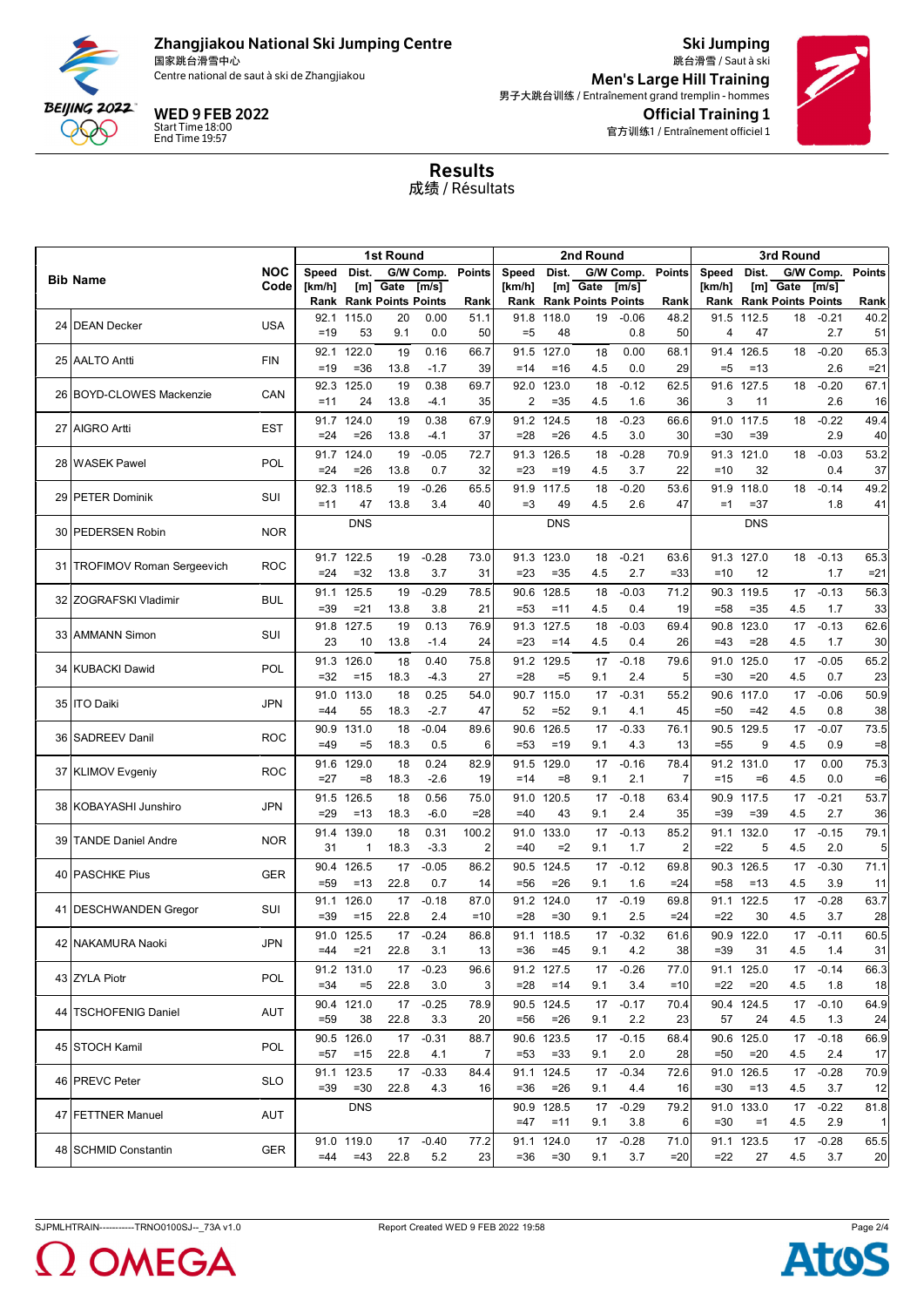

国家跳台滑雪中心 Centre national de saut à ski de Zhangjiakou

WED 9 FEB 2022

Start Time 18:00 End Time 19:57

Ski Jumping 跳台滑雪 / Saut à ski Official Training 1 官方训练1 / Entraînement officiel 1 Men's Large Hill Training 男子大跳台训练 / Entraînement grand tremplin - hommes



Results 成绩 / Résultats

|    |                                |            | 1st Round  |                                |            |                |               |                | 2nd Round      |                                |                |                |               | 3rd Round        |                                |           |              |  |
|----|--------------------------------|------------|------------|--------------------------------|------------|----------------|---------------|----------------|----------------|--------------------------------|----------------|----------------|---------------|------------------|--------------------------------|-----------|--------------|--|
|    | <b>Bib Name</b>                | NOC        | Speed      | Dist.                          |            | G/W Comp.      | <b>Points</b> | Speed          | Dist.          |                                | G/W Comp.      | <b>Points</b>  | Speed         | Dist.            |                                | G/W Comp. | Points       |  |
|    |                                | Code       | [km/h]     |                                | [m] Gate   | [m/s]          |               | [km/h]         |                | [m] Gate                       | [m/s]          |                | [ $km/h$ ]    |                  | [m] Gate                       | [m/s]     |              |  |
|    |                                |            |            | <b>Rank Rank Points Points</b> |            |                | Rank          |                |                | <b>Rank Rank Points Points</b> |                | Rank           |               |                  | <b>Rank Rank Points Points</b> |           | Rank         |  |
|    | 24 DEAN Decker                 | <b>USA</b> | 92.1       | 115.0                          | 20         | 0.00           | 51.1          | 91.8           | 118.0          | 19                             | $-0.06$        | 48.2           | 91.5          | 112.5            | 18                             | $-0.21$   | 40.2         |  |
|    |                                |            | $=19$      | 53                             | 9.1        | 0.0            | 50            | $= 5$          | 48             |                                | 0.8            | 50             | 4             | 47               |                                | 2.7       | 51           |  |
|    | 25 AALTO Antti                 | <b>FIN</b> | 92.1       | 122.0                          | 19         | 0.16           | 66.7          | 91.5           | 127.0          | 18                             | 0.00           | 68.1           | 91.4          | 126.5            | 18                             | $-0.20$   | 65.3         |  |
|    |                                |            | $=19$      | $= 36$                         | 13.8       | $-1.7$         | 39            | $=14$          | $=16$          | 4.5                            | 0.0            | 29             | $=5$          | $=13$            |                                | 2.6       | $= 21$       |  |
|    | 26 BOYD-CLOWES Mackenzie       | CAN        | 92.3       | 125.0                          | 19         | 0.38           | 69.7          | 92.0           | 123.0          | 18                             | $-0.12$        | 62.5           | 91.6          | 127.5            | 18                             | $-0.20$   | 67.1         |  |
|    |                                |            | $=11$      | 24                             | 13.8       | $-4.1$         | 35            | 2              | $= 35$         | 4.5                            | 1.6            | 36             | 3             | 11               |                                | 2.6       | 16           |  |
|    | 27 AIGRO Artti                 | EST        |            | 91.7 124.0                     | 19         | 0.38           | 67.9          |                | 91.2 124.5     | 18                             | $-0.23$        | 66.6           | 91.0          | 117.5            | 18                             | $-0.22$   | 49.4         |  |
|    |                                |            | $=24$      | $= 26$                         | 13.8       | $-4.1$         | 37            | $= 28$         | $=26$          | 4.5                            | 3.0            | 30             | $= 30$        | $=39$            |                                | 2.9       | 40           |  |
|    |                                |            | 91.7       | 124.0                          | 19         | $-0.05$        | 72.7          | 91.3           | 126.5          | 18                             | $-0.28$        | 70.9           | 91.3          | 121.0            | 18                             | $-0.03$   | 53.2         |  |
|    | 28 WASEK Pawel                 | <b>POL</b> | $= 24$     | $= 26$                         | 13.8       | 0.7            | 32            | $= 23$         | $=19$          | 4.5                            | 3.7            | 22             | $=10$         | 32               |                                | 0.4       | 37           |  |
|    |                                |            | 92.3       | 118.5                          | 19         | $-0.26$        | 65.5          | 91.9           | 117.5          | 18                             | $-0.20$        | 53.6           | 91.9          | 118.0            | 18                             | $-0.14$   | 49.2         |  |
| 29 | <b>PETER Dominik</b>           | SUI        | $=11$      | 47                             | 13.8       | 3.4            | 40            | $=3$           | 49             | 4.5                            | 2.6            | 47             | $=1$          | $= 37$           |                                | 1.8       | 41           |  |
|    |                                |            |            | <b>DNS</b>                     |            |                |               |                | <b>DNS</b>     |                                |                |                |               | <b>DNS</b>       |                                |           |              |  |
| 30 | PEDERSEN Robin                 | <b>NOR</b> |            |                                |            |                |               |                |                |                                |                |                |               |                  |                                |           |              |  |
|    |                                |            | 91.7       | 122.5                          | 19         | $-0.28$        | 73.0          | 91.3           | 123.0          | 18                             | $-0.21$        | 63.6           | 91.3          | 127.0            | 18                             | $-0.13$   | 65.3         |  |
|    | 31   TROFIMOV Roman Sergeevich | <b>ROC</b> | $=24$      | $=32$                          | 13.8       | 3.7            | 31            | $= 23$         | $= 35$         | 4.5                            | 2.7            | $= 33$         | $=10$         | 12               |                                | 1.7       | $= 21$       |  |
|    |                                |            | 91.1       | 125.5                          | 19         | $-0.29$        | 78.5          | 90.6           | 128.5          | 18                             | $-0.03$        | 71.2           | 90.3          | 119.5            | 17                             | $-0.13$   | 56.3         |  |
|    | 32 ZOGRAFSKI Vladimir          | <b>BUL</b> | $=39$      | $= 21$                         | 13.8       | 3.8            | 21            | $= 53$         | $=11$          | 4.5                            | 0.4            | 19             | $= 58$        | $= 35$           | 4.5                            | 1.7       | 33           |  |
|    |                                |            |            |                                |            | 0.13           | 76.9          |                |                |                                | $-0.03$        |                |               |                  | 17                             | $-0.13$   | 62.6         |  |
| 33 | <b>AMMANN Simon</b>            | SUI        | 91.8<br>23 | 127.5<br>10                    | 19<br>13.8 | $-1.4$         | 24            | 91.3<br>$= 23$ | 127.5<br>$=14$ | 18<br>4.5                      | 0.4            | 69.4<br>26     | 90.8<br>$=43$ | 123.0<br>$= 28$  | 4.5                            | 1.7       | 30           |  |
|    |                                |            |            |                                |            |                |               |                |                |                                |                |                |               |                  |                                |           |              |  |
|    | 34 KUBACKI Dawid               | <b>POL</b> | 91.3       | 126.0                          | 18         | 0.40           | 75.8          | 91.2           | 129.5          | 17                             | $-0.18$        | 79.6           | 91.0          | 125.0            | 17                             | $-0.05$   | 65.2         |  |
|    |                                |            | $=32$      | $=15$                          | 18.3       | $-4.3$         | 27            | $= 28$         | $=5$           | 9.1                            | 2.4            | 5              | $= 30$        | $=20$            | 4.5                            | 0.7       | 23           |  |
|    | 35 ITO Daiki                   | <b>JPN</b> | 91.0       | 113.0                          | 18         | 0.25           | 54.0          |                | 90.7 115.0     | 17                             | $-0.31$        | 55.2           | 90.6          | 117.0            | 17                             | $-0.06$   | 50.9         |  |
|    |                                |            | $=44$      | 55                             | 18.3       | $-2.7$         | 47            | 52             | $=52$          | 9.1                            | 4.1            | 45             | $= 50$        | $=42$            | 4.5                            | 0.8       | 38           |  |
| 36 | <b>SADREEV Danil</b>           | ROC        | 90.9       | 131.0                          | 18         | $-0.04$        | 89.6          | 90.6           | 126.5          | 17                             | $-0.33$        | 76.1           | 90.5          | 129.5            | 17                             | $-0.07$   | 73.5         |  |
|    |                                |            | $=49$      | =5                             | 18.3       | 0.5            | 6             | $= 53$         | $=19$          | 9.1                            | 4.3            | 13             | $= 55$        | 9                | 4.5                            | 0.9       | $= 8$        |  |
|    | 37 KLIMOV Evgeniy              | <b>ROC</b> | 91.6       | 129.0                          | 18         | 0.24           | 82.9          | 91.5           | 129.0          | 17                             | $-0.16$        | 78.4           |               | 91.2 131.0       | 17                             | 0.00      | 75.3         |  |
|    |                                |            | $=27$      | $=8$                           | 18.3       | $-2.6$         | 19            | $=14$          | $= 8$          | 9.1                            | 2.1            | $\overline{7}$ | $=15$         | $=6$             | 4.5                            | 0.0       | $=6$         |  |
|    | 38 KOBAYASHI Junshiro          | JPN        | 91.5       | 126.5                          | 18         | 0.56           | 75.0          | 91.0           | 120.5          | 17                             | $-0.18$        | 63.4           | 90.9          | 117.5            | 17                             | $-0.21$   | 53.7         |  |
|    |                                |            | $=29$      | $=13$                          | 18.3       | $-6.0$         | $= 28$        | $=40$          | 43             | 9.1                            | 2.4            | 35             | $= 39$        | $=39$            | 4.5                            | 2.7       | 36           |  |
|    |                                |            | 91.4       | 139.0                          | 18         | 0.31           | 100.2         | 91.0           | 133.0          | 17                             | $-0.13$        | 85.2           | 91.1          | 132.0            | 17                             | $-0.15$   | 79.1         |  |
| 39 | <b>TANDE Daniel Andre</b>      | <b>NOR</b> | 31         | 1                              | 18.3       | $-3.3$         | 2             | $=40$          | $=2$           | 9.1                            | 1.7            | 2              | $=22$         | 5                | 4.5                            | 2.0       | 5            |  |
|    |                                |            | 90.4       | 126.5                          | 17         | $-0.05$        | 86.2          | 90.5           | 124.5          | 17                             | $-0.12$        | 69.8           | 90.3          | 126.5            | 17                             | $-0.30$   | 71.1         |  |
|    | 40 PASCHKE Pius                | <b>GER</b> | $= 59$     | $=13$                          | 22.8       | 0.7            | 14            | $= 56$         | $= 26$         | 9.1                            | 1.6            | $= 24$         | $= 58$        | $=13$            | 4.5                            | 3.9       | 11           |  |
|    |                                |            | 91.1       | 126.0                          | 17         | $-0.18$        | 87.0          | 91.2           | 124.0          | 17                             | $-0.19$        | 69.8           | 91.1          | 122.5            | 17                             | $-0.28$   | 63.7         |  |
|    | 41   DESCHWANDEN Gregor        | SUI        | $=39$      | $=15$                          | 22.8       | 2.4            | $=10$         | $= 28$         | $= 30$         | 9.1                            | 2.5            | $= 24$         | $=22$         | 30               | 4.5                            | 3.7       | 28           |  |
|    |                                |            | 91.0       | 125.5                          | 17         | $-0.24$        | 86.8          | 91.1           | 118.5          | 17                             | $-0.32$        | 61.6           |               | 90.9 122.0       | 17                             | $-0.11$   | 60.5         |  |
|    | 42 NAKAMURA Naoki              | <b>JPN</b> | $=44$      | $= 21$                         | 22.8       | 3.1            | 13            | $= 36$         | $=45$          | 9.1                            | 4.2            | 38             | $=39$         | 31               | 4.5                            | 1.4       | 31           |  |
|    |                                |            |            | 91.2 131.0                     | 17         | $-0.23$        | 96.6          |                | 91.2 127.5     | 17                             | $-0.26$        | 77.0           |               | 91.1 125.0       | 17                             | $-0.14$   | 66.3         |  |
|    | 43 ZYLA Piotr                  | POL        | $=34$      | $= 5$                          | 22.8       | 3.0            | 3             | $= 28$         | $=14$          | 9.1                            | 3.4            | $=10$          | $=22$         | $=20$            | 4.5                            | 1.8       | 18           |  |
|    |                                |            |            |                                |            |                |               |                | 90.5 124.5     |                                |                |                |               |                  |                                | $-0.10$   |              |  |
|    | 44   TSCHOFENIG Daniel         | AUT        | $= 59$     | 90.4 121.0<br>38               | 17<br>22.8 | $-0.25$<br>3.3 | 78.9<br>20    | $= 56$         | $= 26$         | 17<br>9.1                      | $-0.17$<br>2.2 | 70.4<br>23     | 57            | 90.4 124.5<br>24 | 17<br>4.5                      | 1.3       | 64.9<br>24   |  |
|    |                                |            |            |                                |            |                |               |                |                |                                |                |                |               |                  |                                |           |              |  |
|    | 45 STOCH Kamil                 | POL        |            | 90.5 126.0                     | 17         | $-0.31$        | 88.7          |                | 90.6 123.5     | 17                             | $-0.15$        | 68.4           |               | 90.6 125.0       | 17                             | $-0.18$   | 66.9         |  |
|    |                                | $= 57$     | $=15$      | 22.8                           | 4.1        | 7              | $= 53$        | $= 33$         | 9.1            | 2.0                            | 28             | $=50$          | $=20$         | 4.5              | 2.4                            | 17        |              |  |
|    | 46 PREVC Peter                 | <b>SLO</b> |            | 91.1 123.5                     | 17         | $-0.33$        | 84.4          |                | 91.1 124.5     | 17 <sup>2</sup>                | $-0.34$        | 72.6           |               | 91.0 126.5       | 17                             | $-0.28$   | 70.9         |  |
|    |                                |            | $=39$      | $= 30$                         | 22.8       | 4.3            | 16            | $= 36$         | $= 26$         | 9.1                            | 4.4            | 16             | $= 30$        | $=13$            | 4.5                            | 3.7       | 12           |  |
|    | 47 FETTNER Manuel              | AUT        |            | <b>DNS</b>                     |            |                |               |                | 90.9 128.5     | 17                             | $-0.29$        | 79.2           |               | 91.0 133.0       | 17                             | $-0.22$   | 81.8         |  |
|    |                                |            |            |                                |            |                |               | $=47$          | $=11$          | 9.1                            | 3.8            | 6              | $= 30$        | $=1$             | 4.5                            | 2.9       | $\mathbf{1}$ |  |
|    | 48 SCHMID Constantin           | <b>GER</b> |            | 91.0 119.0                     | 17         | $-0.40$        | 77.2          |                | 91.1 124.0     | 17                             | $-0.28$        | 71.0           |               | 91.1 123.5       | 17                             | $-0.28$   | 65.5         |  |
|    |                                |            |            | $=44$ $=43$                    | 22.8       | 5.2            | 23            | $= 36$         | $= 30$         | 9.1                            | 3.7            | $=20$          | $=22$         | 27               | 4.5                            | 3.7       | 20           |  |

**OMEGA** 

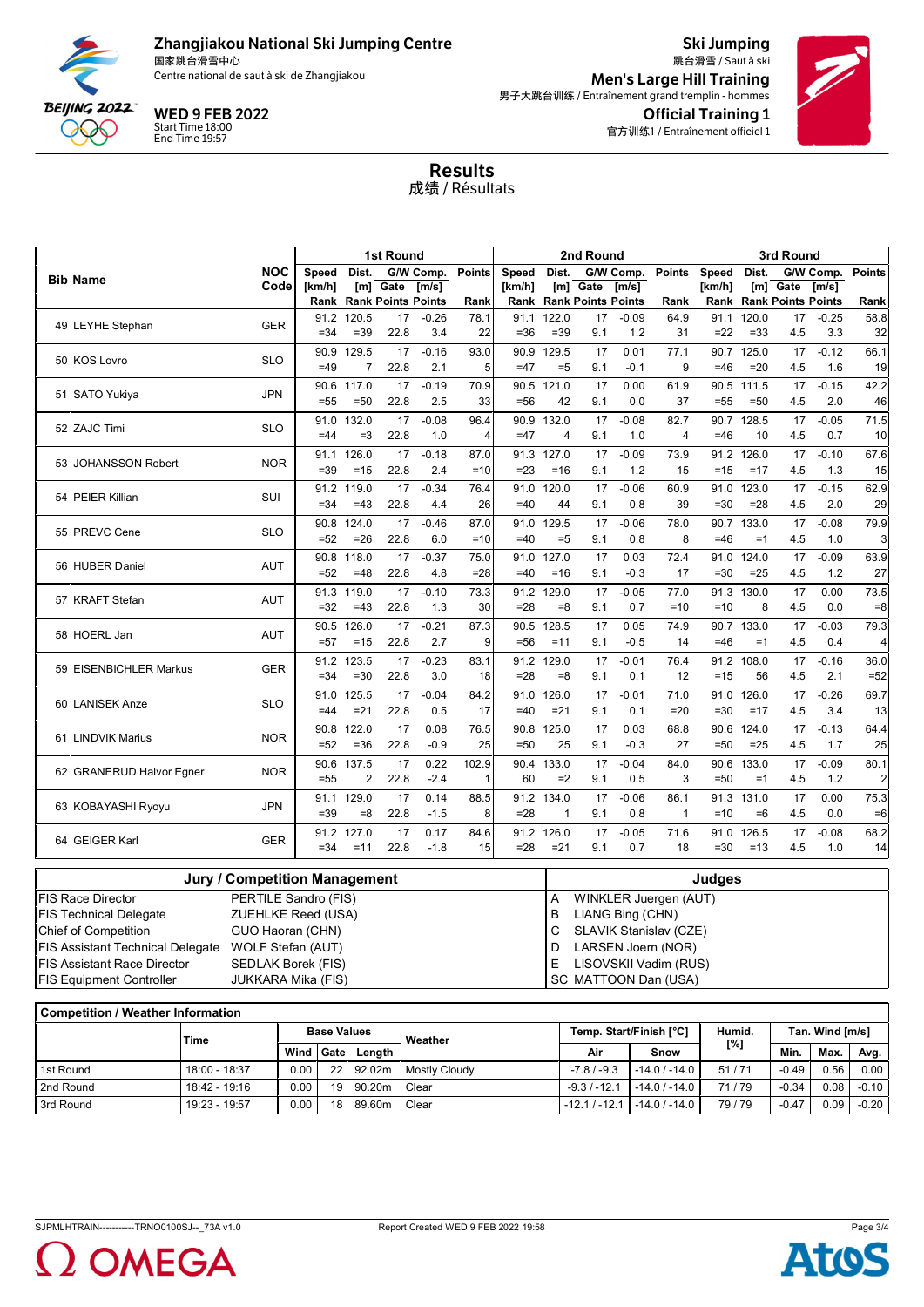

国家跳台滑雪中心 Centre national de saut à ski de Zhangjiakou

WED 9 FEB 2022 Start Time 18:00 End Time 19:57

Ski Jumping 跳台滑雪 / Saut à ski Official Training 1 官方训练1 / Entraînement officiel 1 Men's Large Hill Training 男子大跳台训练 / Entraînement grand tremplin - hommes



Results 成绩 / Résultats

|    |                          | 1st Round  |                |                         |                                |                   |               |                | 2nd Round      |                                |                | 3rd Round     |               |                |                                |                |                |
|----|--------------------------|------------|----------------|-------------------------|--------------------------------|-------------------|---------------|----------------|----------------|--------------------------------|----------------|---------------|---------------|----------------|--------------------------------|----------------|----------------|
|    | <b>Bib Name</b>          | <b>NOC</b> | <b>Speed</b>   | Dist.                   |                                | G/W Comp.         | <b>Points</b> | <b>Speed</b>   | Dist.          |                                | G/W Comp.      | <b>Points</b> | Speed         | Dist.          |                                | G/W Comp.      | <b>Points</b>  |
|    |                          | Code       | [km/h]         |                         | $[ml]$ Gate                    | $\overline{Im/s}$ |               | [km/h]         |                | $[m]$ Gate                     | [m/s]          |               | [km/h]        |                | $[m]$ Gate                     | [m/s]          |                |
|    |                          |            |                |                         | <b>Rank Rank Points Points</b> |                   | Rank          |                |                | <b>Rank Rank Points Points</b> |                | Rank          |               |                | <b>Rank Rank Points Points</b> |                | Rank           |
|    | 49 LEYHE Stephan         | <b>GER</b> | 91.2<br>$= 34$ | 120.5<br>$=39$          | 17<br>22.8                     | $-0.26$<br>3.4    | 78.1<br>22    | 91.1<br>$= 36$ | 122.0<br>$=39$ | 17<br>9.1                      | $-0.09$<br>1.2 | 64.9<br>31    | 91.1<br>$=22$ | 120.0<br>$=33$ | 17<br>4.5                      | $-0.25$<br>3.3 | 58.8<br>32     |
|    |                          |            |                |                         |                                |                   |               |                |                |                                |                |               |               |                |                                |                |                |
|    | 50 KOS Lovro             | <b>SLO</b> | 90.9<br>$=49$  | 129.5<br>$\overline{7}$ | 17<br>22.8                     | $-0.16$<br>2.1    | 93.0<br>5     | 90.9<br>$=47$  | 129.5<br>$=5$  | 17<br>9.1                      | 0.01<br>$-0.1$ | 77.1<br>9     | 90.7<br>$=46$ | 125.0<br>$=20$ | 17<br>4.5                      | $-0.12$<br>1.6 | 66.1<br>19     |
|    |                          |            | 90.6           | 117.0                   |                                | $-0.19$           | 70.9          |                | 90.5 121.0     | 17                             | 0.00           | 61.9          |               | 111.5          | 17                             | $-0.15$        | 42.2           |
|    | 51 SATO Yukiya           | <b>JPN</b> | $= 55$         | $=50$                   | 17<br>22.8                     | 2.5               | 33            | $= 56$         | 42             | 9.1                            | 0.0            | 37            | 90.5<br>$=55$ | $=50$          | 4.5                            | 2.0            | 46             |
|    |                          |            | 91.0           | 132.0                   | 17                             | $-0.08$           | 96.4          |                | 90.9 132.0     | 17                             | $-0.08$        | 82.7          |               | 90.7 128.5     | 17                             | $-0.05$        | 71.5           |
|    | 52 ZAJC Timi             | <b>SLO</b> | $=44$          | $=3$                    | 22.8                           | 1.0               | 4             | $=47$          | $\overline{4}$ | 9.1                            | 1.0            | 4             | $=46$         | 10             | 4.5                            | 0.7            | 10             |
|    | <b>JOHANSSON Robert</b>  |            | 91.1           | 126.0                   | 17                             | $-0.18$           | 87.0          |                | 91.3 127.0     | 17                             | $-0.09$        | 73.9          |               | 91.2 126.0     | 17                             | $-0.10$        | 67.6           |
| 53 |                          | <b>NOR</b> | $=39$          | $=15$                   | 22.8                           | 2.4               | $=10$         | $=23$          | $=16$          | 9.1                            | 1.2            | 15            | $=15$         | $=17$          | 4.5                            | 1.3            | 15             |
|    | 54 PEIER Killian         | SUI        | 91.2           | 119.0                   | 17                             | $-0.34$           | 76.4          | 91.0           | 120.0          | 17                             | $-0.06$        | 60.9          | 91.0          | 123.0          | 17                             | $-0.15$        | 62.9           |
|    |                          |            | $= 34$         | $=43$                   | 22.8                           | 4.4               | 26            | $=40$          | 44             | 9.1                            | 0.8            | 39            | $= 30$        | $= 28$         | 4.5                            | 2.0            | 29             |
|    | 55 PREVC Cene            | <b>SLO</b> | 90.8           | 124.0                   | 17                             | $-0.46$           | 87.0          | 91.0           | 129.5          | 17                             | $-0.06$        | 78.0          | 90.7          | 133.0          | 17                             | $-0.08$        | 79.9           |
|    |                          |            | $=52$          | $=26$                   | 22.8                           | 6.0               | $=10$         | $=40$          | $=5$           | 9.1                            | 0.8            | 8             | =46           | $=1$           | 4.5                            | 1.0            | 3              |
|    | 56 HUBER Daniel          | <b>AUT</b> | 90.8           | 118.0                   | 17                             | $-0.37$           | 75.0          | 91.0           | 127.0          | 17                             | 0.03           | 72.4          | 91.0          | 124.0          | 17                             | $-0.09$        | 63.9           |
|    |                          |            | $=52$          | $=48$                   | 22.8                           | 4.8               | $= 28$        | $=40$          | $=16$          | 9.1                            | $-0.3$         | 17            | $= 30$        | $=25$          | 4.5                            | 1.2            | 27             |
|    | 57 KRAFT Stefan          | <b>AUT</b> | 91.3           | 119.0                   | 17                             | $-0.10$           | 73.3          | 91.2           | 129.0          | 17                             | $-0.05$        | 77.0          | 91.3          | 130.0          | 17                             | 0.00           | 73.5           |
|    |                          |            | $=32$          | $=43$                   | 22.8                           | 1.3               | 30            | $= 28$         | $= 8$          | 9.1                            | 0.7            | $=10$         | $=10$         | 8              | 4.5                            | 0.0            | $= 8$          |
|    | 58 HOERL Jan             | <b>AUT</b> | 90.5           | 126.0                   | 17                             | $-0.21$           | 87.3          | 90.5           | 128.5          | 17                             | 0.05           | 74.9          | 90.7          | 133.0          | 17                             | $-0.03$        | 79.3           |
|    |                          |            | $=57$          | $=15$                   | 22.8                           | 2.7               | 9             | $=56$          | $=11$          | 9.1                            | $-0.5$         | 14            | $=46$         | $=1$           | 4.5                            | 0.4            | 4              |
|    | 59 EISENBICHLER Markus   | <b>GER</b> | 91.2           | 123.5                   | 17                             | $-0.23$           | 83.1          | 91.2           | 129.0          | 17                             | $-0.01$        | 76.4          | 91.2          | 108.0          | 17                             | $-0.16$        | 36.0           |
|    |                          |            | $= 34$         | $=30$                   | 22.8                           | 3.0               | 18            | $= 28$         | $=8$           | 9.1                            | 0.1            | 12            | $=15$         | 56             | 4.5                            | 2.1            | $=52$          |
|    | 60 LANISEK Anze          | <b>SLO</b> | 91.0           | 125.5                   | 17                             | $-0.04$           | 84.2          |                | 91.0 126.0     | 17                             | $-0.01$        | 71.0          | 91.0          | 126.0          | 17                             | $-0.26$        | 69.7           |
|    |                          |            | $=44$          | $=21$                   | 22.8                           | 0.5               | 17            | $=40$          | $=21$          | 9.1                            | 0.1            | $=20$         | $= 30$        | $=17$          | 4.5                            | 3.4            | 13             |
|    | 61 LINDVIK Marius        | <b>NOR</b> | 90.8           | 122.0                   | 17                             | 0.08              | 76.5          |                | 90.8 125.0     | 17                             | 0.03           | 68.8          | 90.6          | 124.0          | 17                             | $-0.13$        | 64.4           |
|    |                          |            | $=52$          | $=36$                   | 22.8                           | $-0.9$            | 25            | $= 50$         | 25             | 9.1                            | $-0.3$         | 27            | =50           | $=25$          | 4.5                            | 1.7            | 25             |
|    | 62 GRANERUD Halvor Egner | <b>NOR</b> | 90.6           | 137.5                   | 17                             | 0.22              | 102.9         |                | 90.4 133.0     | 17                             | $-0.04$        | 84.0          | 90.6          | 133.0          | 17                             | $-0.09$        | 80.1           |
|    |                          |            | $= 55$         | 2                       | 22.8                           | $-2.4$            | 1             | 60             | $=2$           | 9.1                            | 0.5            | 3             | $=50$         | $=1$           | 4.5                            | 1.2            | $\overline{a}$ |
|    | 63 KOBAYASHI Ryoyu       | <b>JPN</b> | 91.1           | 129.0                   | 17                             | 0.14              | 88.5          | 91.2           | 134.0          | 17                             | $-0.06$        | 86.1          | 91.3          | 131.0          | 17                             | 0.00           | 75.3           |
|    |                          |            | $=39$          | $= 8$                   | 22.8                           | $-1.5$            | 8             | $= 28$         | $\mathbf{1}$   | 9.1                            | 0.8            | 1             | $=10$         | $=6$           | 4.5                            | 0.0            | $=6$           |
|    | 64 GEIGER Karl           | <b>GER</b> | 91.2           | 127.0                   | 17                             | 0.17              | 84.6          | 91.2           | 126.0          | 17                             | $-0.05$        | 71.6          | 91.0          | 126.5          | 17                             | $-0.08$        | 68.2           |
|    |                          |            | $= 34$         | $=11$                   | 22.8                           | $-1.8$            | 15            | $= 28$         | $= 21$         | 9.1                            | 0.7            | 18            | $= 30$        | $=13$          | 4.5                            | 1.0            | 14             |

|                                  | Jury / Competition Management | Judges |                        |  |  |  |  |  |
|----------------------------------|-------------------------------|--------|------------------------|--|--|--|--|--|
| IFIS Race Director               | PERTILE Sandro (FIS)          | A      | WINKLER Juergen (AUT)  |  |  |  |  |  |
| FIS Technical Delegate           | ZUEHLKE Reed (USA)            | B      | LIANG Bing (CHN)       |  |  |  |  |  |
| Chief of Competition             | GUO Haoran (CHN)              |        | SLAVIK Stanislav (CZE) |  |  |  |  |  |
| FIS Assistant Technical Delegate | WOLF Stefan (AUT)             |        | LARSEN Joern (NOR)     |  |  |  |  |  |
| IFIS Assistant Race Director     | SEDLAK Borek (FIS)            |        | LISOVSKII Vadim (RUS)  |  |  |  |  |  |
| <b>FIS Equipment Controller</b>  | JUKKARA Mika (FIS)            |        | SC MATTOON Dan (USA)   |  |  |  |  |  |

| <b>Competition / Weather Information</b> |               |           |                    |        |                      |                 |                         |        |                 |      |         |  |  |
|------------------------------------------|---------------|-----------|--------------------|--------|----------------------|-----------------|-------------------------|--------|-----------------|------|---------|--|--|
|                                          | Time          |           | <b>Base Values</b> |        | Weather              |                 | Temp. Start/Finish [°C] | Humid. | Tan. Wind [m/s] |      |         |  |  |
|                                          |               | Wind Gate |                    | Lenath |                      | Air             | Snow                    | [%]    | Min.            | Max. | Avg.    |  |  |
| 1st Round                                | 18:00 - 18:37 | 0.00      | 22                 | 92.02m | <b>Mostly Cloudy</b> | $-7.8/ -9.3$    | $-14.0$ / $-14.0$       | 51/71  | $-0.49$         | 0.56 | 0.00    |  |  |
| 2nd Round                                | 18:42 - 19:16 | $0.00\,$  | 19                 | 90.20m | Clear                | $-9.3/ -12.1$   | $-14.0$ / $-14.0$       | 71/79  | $-0.34$         | 0.08 | $-0.10$ |  |  |
| 3rd Round                                | 19:23 - 19:57 | 0.00      | 18                 | 89.60m | Clear                | $-12.1 / -12.1$ | $-14.0$ / $-14.0$       | 79/79  | $-0.47$         | 0.09 | $-0.20$ |  |  |